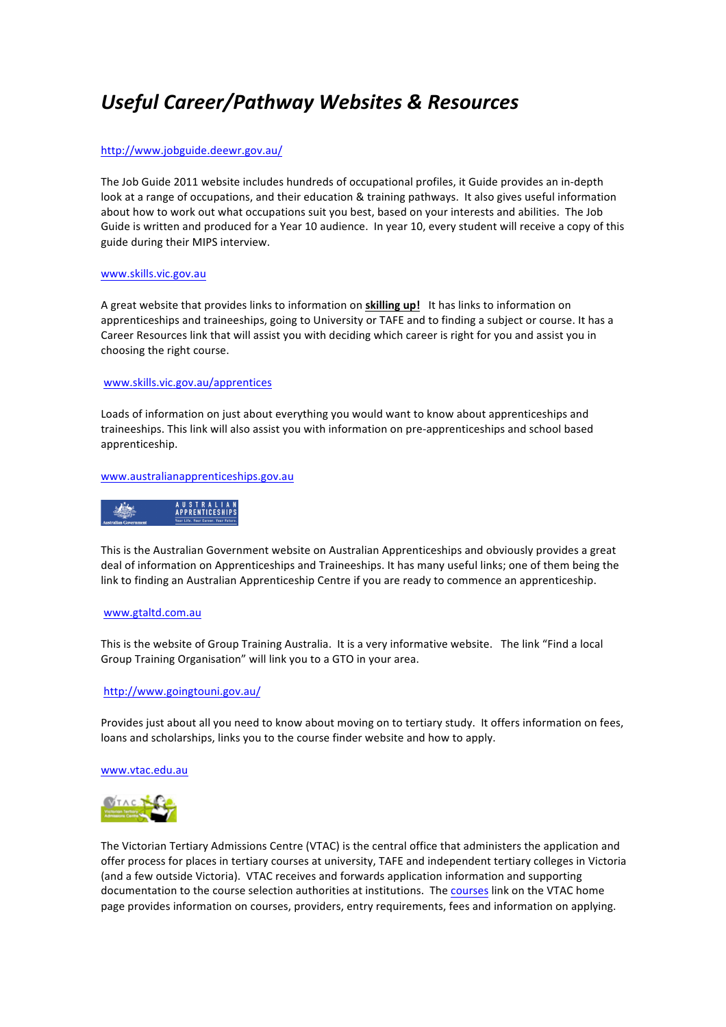# *Useful Career/Pathway Websites & Resources*

# http://www.jobguide.deewr.gov.au/

The Job Guide 2011 website includes hundreds of occupational profiles, it Guide provides an in-depth look at a range of occupations, and their education & training pathways. It also gives useful information about how to work out what occupations suit you best, based on your interests and abilities. The Job Guide is written and produced for a Year 10 audience. In year 10, every student will receive a copy of this guide during their MIPS interview.

## www.skills.vic.gov.au

A great website that provides links to information on **skilling up!** It has links to information on apprenticeships and traineeships, going to University or TAFE and to finding a subject or course. It has a Career Resources link that will assist you with deciding which career is right for you and assist you in choosing the right course.

# www.skills.vic.gov.au/apprentices

Loads of information on just about everything you would want to know about apprenticeships and traineeships. This link will also assist you with information on pre-apprenticeships and school based apprenticeship. 

## www.australianapprenticeships.gov.au



This is the Australian Government website on Australian Apprenticeships and obviously provides a great deal of information on Apprenticeships and Traineeships. It has many useful links; one of them being the link to finding an Australian Apprenticeship Centre if you are ready to commence an apprenticeship.

### www.gtaltd.com.au

This is the website of Group Training Australia. It is a very informative website. The link "Find a local Group Training Organisation" will link you to a GTO in your area.

### http://www.goingtouni.gov.au/

Provides just about all you need to know about moving on to tertiary study. It offers information on fees, loans and scholarships, links you to the course finder website and how to apply.

### www.vtac.edu.au



The Victorian Tertiary Admissions Centre (VTAC) is the central office that administers the application and offer process for places in tertiary courses at university, TAFE and independent tertiary colleges in Victoria (and a few outside Victoria). VTAC receives and forwards application information and supporting documentation to the course selection authorities at institutions. The courses link on the VTAC home page provides information on courses, providers, entry requirements, fees and information on applying.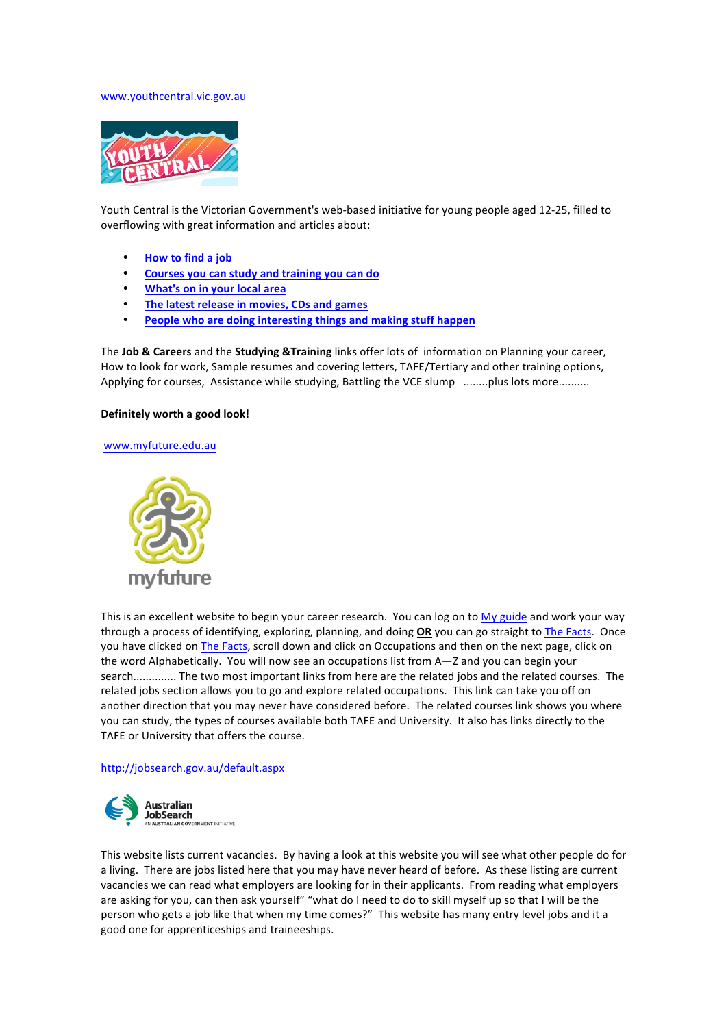## www.youthcentral.vic.gov.au



Youth Central is the Victorian Government's web-based initiative for young people aged 12-25, filled to overflowing with great information and articles about:

- **How to find a job**
- Courses you can study and training you can do
- **What's on in your local area**
- **The latest release in movies, CDs and games**
- **People who are doing interesting things and making stuff happen**

The **Job & Careers** and the **Studying &Training** links offer lots of information on Planning your career, How to look for work, Sample resumes and covering letters, TAFE/Tertiary and other training options, Applying for courses, Assistance while studying, Battling the VCE slump ........plus lots more..........

#### **Definitely worth a good look!**

## www.myfuture.edu.au



This is an excellent website to begin your career research. You can log on to My guide and work your way through a process of identifying, exploring, planning, and doing **OR** you can go straight to The Facts. Once you have clicked on The Facts, scroll down and click on Occupations and then on the next page, click on the word Alphabetically. You will now see an occupations list from A-Z and you can begin your search............... The two most important links from here are the related jobs and the related courses. The related jobs section allows you to go and explore related occupations. This link can take you off on another direction that you may never have considered before. The related courses link shows you where you can study, the types of courses available both TAFE and University. It also has links directly to the TAFE or University that offers the course.

## http://jobsearch.gov.au/default.aspx



This website lists current vacancies. By having a look at this website you will see what other people do for a living. There are jobs listed here that you may have never heard of before. As these listing are current vacancies we can read what employers are looking for in their applicants. From reading what employers are asking for you, can then ask yourself" "what do I need to do to skill myself up so that I will be the person who gets a job like that when my time comes?" This website has many entry level jobs and it a good one for apprenticeships and traineeships.